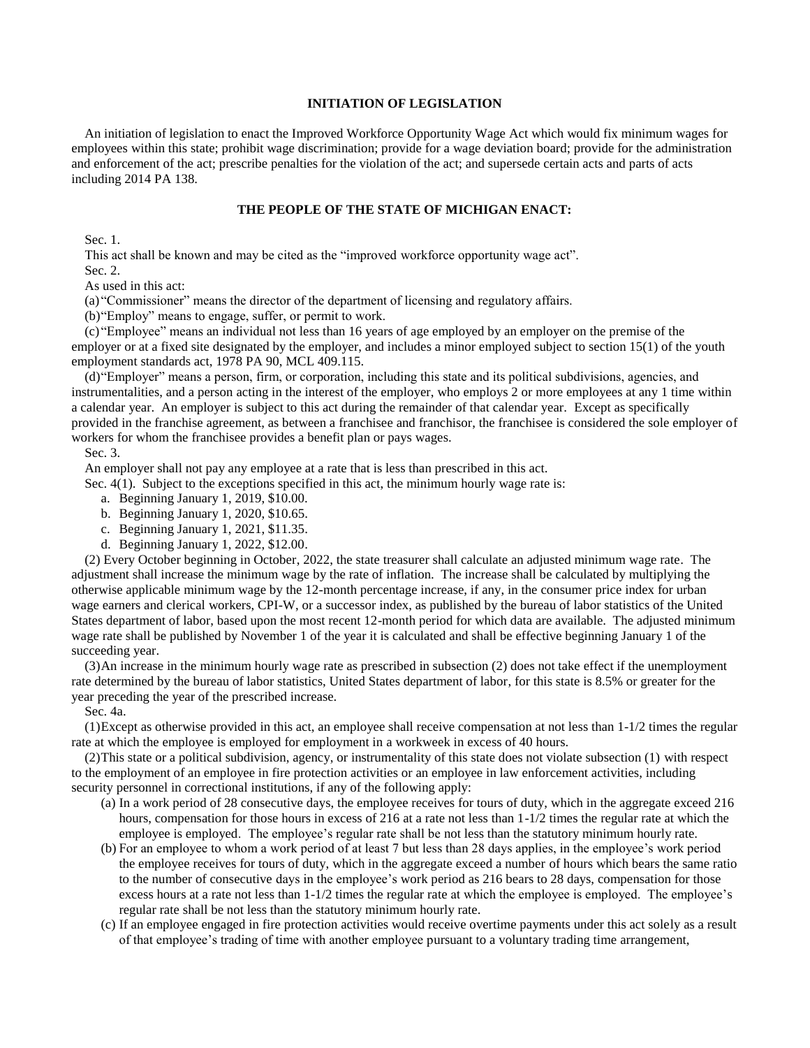# **INITIATION OF LEGISLATION**

An initiation of legislation to enact the Improved Workforce Opportunity Wage Act which would fix minimum wages for employees within this state; prohibit wage discrimination; provide for a wage deviation board; provide for the administration and enforcement of the act; prescribe penalties for the violation of the act; and supersede certain acts and parts of acts including 2014 PA 138.

# **THE PEOPLE OF THE STATE OF MICHIGAN ENACT:**

Sec. 1.

This act shall be known and may be cited as the "improved workforce opportunity wage act".

Sec. 2.

As used in this act:

(a) "Commissioner" means the director of the department of licensing and regulatory affairs.

(b)"Employ" means to engage, suffer, or permit to work.

(c) "Employee" means an individual not less than 16 years of age employed by an employer on the premise of the employer or at a fixed site designated by the employer, and includes a minor employed subject to section 15(1) of the youth employment standards act, 1978 PA 90, MCL 409.115.

(d)"Employer" means a person, firm, or corporation, including this state and its political subdivisions, agencies, and instrumentalities, and a person acting in the interest of the employer, who employs 2 or more employees at any 1 time within a calendar year. An employer is subject to this act during the remainder of that calendar year. Except as specifically provided in the franchise agreement, as between a franchisee and franchisor, the franchisee is considered the sole employer of workers for whom the franchisee provides a benefit plan or pays wages.

#### Sec. 3.

An employer shall not pay any employee at a rate that is less than prescribed in this act.

Sec. 4(1). Subject to the exceptions specified in this act, the minimum hourly wage rate is:

- a. Beginning January 1, 2019, \$10.00.
- b. Beginning January 1, 2020, \$10.65.
- c. Beginning January 1, 2021, \$11.35.
- d. Beginning January 1, 2022, \$12.00.

(2) Every October beginning in October, 2022, the state treasurer shall calculate an adjusted minimum wage rate. The adjustment shall increase the minimum wage by the rate of inflation. The increase shall be calculated by multiplying the otherwise applicable minimum wage by the 12-month percentage increase, if any, in the consumer price index for urban wage earners and clerical workers, CPI-W, or a successor index, as published by the bureau of labor statistics of the United States department of labor, based upon the most recent 12-month period for which data are available. The adjusted minimum wage rate shall be published by November 1 of the year it is calculated and shall be effective beginning January 1 of the succeeding year.

(3)An increase in the minimum hourly wage rate as prescribed in subsection (2) does not take effect if the unemployment rate determined by the bureau of labor statistics, United States department of labor, for this state is 8.5% or greater for the year preceding the year of the prescribed increase.

Sec. 4a.

(1)Except as otherwise provided in this act, an employee shall receive compensation at not less than 1-1/2 times the regular rate at which the employee is employed for employment in a workweek in excess of 40 hours.

(2)This state or a political subdivision, agency, or instrumentality of this state does not violate subsection (1) with respect to the employment of an employee in fire protection activities or an employee in law enforcement activities, including security personnel in correctional institutions, if any of the following apply:

- (a) In a work period of 28 consecutive days, the employee receives for tours of duty, which in the aggregate exceed 216 hours, compensation for those hours in excess of 216 at a rate not less than 1-1/2 times the regular rate at which the employee is employed. The employee's regular rate shall be not less than the statutory minimum hourly rate.
- (b) For an employee to whom a work period of at least 7 but less than 28 days applies, in the employee's work period the employee receives for tours of duty, which in the aggregate exceed a number of hours which bears the same ratio to the number of consecutive days in the employee's work period as 216 bears to 28 days, compensation for those excess hours at a rate not less than 1-1/2 times the regular rate at which the employee is employed. The employee's regular rate shall be not less than the statutory minimum hourly rate.
- (c) If an employee engaged in fire protection activities would receive overtime payments under this act solely as a result of that employee's trading of time with another employee pursuant to a voluntary trading time arrangement,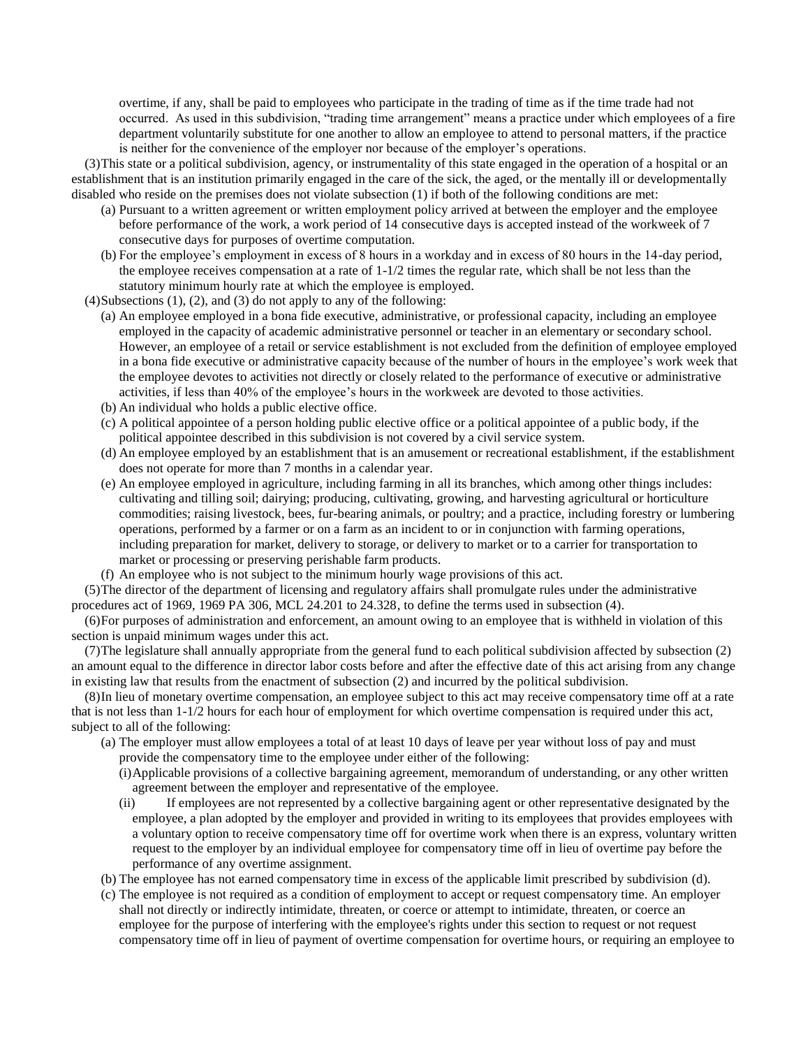overtime, if any, shall be paid to employees who participate in the trading of time as if the time trade had not occurred. As used in this subdivision, "trading time arrangement" means a practice under which employees of a fire department voluntarily substitute for one another to allow an employee to attend to personal matters, if the practice is neither for the convenience of the employer nor because of the employer's operations.

(3)This state or a political subdivision, agency, or instrumentality of this state engaged in the operation of a hospital or an establishment that is an institution primarily engaged in the care of the sick, the aged, or the mentally ill or developmentally disabled who reside on the premises does not violate subsection (1) if both of the following conditions are met:

- (a) Pursuant to a written agreement or written employment policy arrived at between the employer and the employee before performance of the work, a work period of 14 consecutive days is accepted instead of the workweek of 7 consecutive days for purposes of overtime computation.
- (b) For the employee's employment in excess of 8 hours in a workday and in excess of 80 hours in the 14-day period, the employee receives compensation at a rate of 1-1/2 times the regular rate, which shall be not less than the statutory minimum hourly rate at which the employee is employed.

(4)Subsections (1), (2), and (3) do not apply to any of the following:

- (a) An employee employed in a bona fide executive, administrative, or professional capacity, including an employee employed in the capacity of academic administrative personnel or teacher in an elementary or secondary school. However, an employee of a retail or service establishment is not excluded from the definition of employee employed in a bona fide executive or administrative capacity because of the number of hours in the employee's work week that the employee devotes to activities not directly or closely related to the performance of executive or administrative activities, if less than 40% of the employee's hours in the workweek are devoted to those activities.
- (b) An individual who holds a public elective office.
- (c) A political appointee of a person holding public elective office or a political appointee of a public body, if the political appointee described in this subdivision is not covered by a civil service system.
- (d) An employee employed by an establishment that is an amusement or recreational establishment, if the establishment does not operate for more than 7 months in a calendar year.
- (e) An employee employed in agriculture, including farming in all its branches, which among other things includes: cultivating and tilling soil; dairying; producing, cultivating, growing, and harvesting agricultural or horticulture commodities; raising livestock, bees, fur-bearing animals, or poultry; and a practice, including forestry or lumbering operations, performed by a farmer or on a farm as an incident to or in conjunction with farming operations, including preparation for market, delivery to storage, or delivery to market or to a carrier for transportation to market or processing or preserving perishable farm products.
- (f) An employee who is not subject to the minimum hourly wage provisions of this act.

(5)The director of the department of licensing and regulatory affairs shall promulgate rules under the administrative procedures act of 1969, 1969 PA 306, MCL 24.201 to 24.328, to define the terms used in subsection (4).

(6)For purposes of administration and enforcement, an amount owing to an employee that is withheld in violation of this section is unpaid minimum wages under this act.

(7)The legislature shall annually appropriate from the general fund to each political subdivision affected by subsection (2) an amount equal to the difference in director labor costs before and after the effective date of this act arising from any change in existing law that results from the enactment of subsection (2) and incurred by the political subdivision.

(8)In lieu of monetary overtime compensation, an employee subject to this act may receive compensatory time off at a rate that is not less than 1-1/2 hours for each hour of employment for which overtime compensation is required under this act, subject to all of the following:

- (a) The employer must allow employees a total of at least 10 days of leave per year without loss of pay and must provide the compensatory time to the employee under either of the following:
	- (i)Applicable provisions of a collective bargaining agreement, memorandum of understanding, or any other written agreement between the employer and representative of the employee.
	- (ii) If employees are not represented by a collective bargaining agent or other representative designated by the employee, a plan adopted by the employer and provided in writing to its employees that provides employees with a voluntary option to receive compensatory time off for overtime work when there is an express, voluntary written request to the employer by an individual employee for compensatory time off in lieu of overtime pay before the performance of any overtime assignment.
- (b) The employee has not earned compensatory time in excess of the applicable limit prescribed by subdivision (d).
- (c) The employee is not required as a condition of employment to accept or request compensatory time. An employer shall not directly or indirectly intimidate, threaten, or coerce or attempt to intimidate, threaten, or coerce an employee for the purpose of interfering with the employee's rights under this section to request or not request compensatory time off in lieu of payment of overtime compensation for overtime hours, or requiring an employee to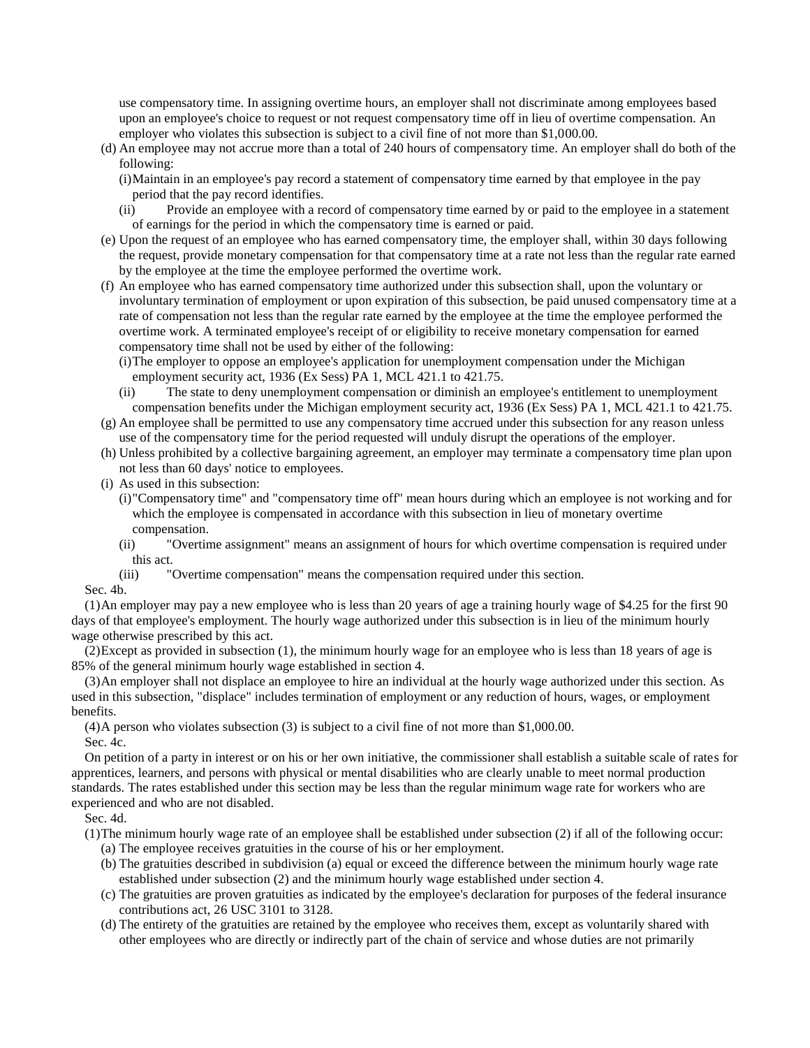use compensatory time. In assigning overtime hours, an employer shall not discriminate among employees based upon an employee's choice to request or not request compensatory time off in lieu of overtime compensation. An employer who violates this subsection is subject to a civil fine of not more than \$1,000.00.

- (d) An employee may not accrue more than a total of 240 hours of compensatory time. An employer shall do both of the following:
	- (i)Maintain in an employee's pay record a statement of compensatory time earned by that employee in the pay period that the pay record identifies.
	- (ii) Provide an employee with a record of compensatory time earned by or paid to the employee in a statement of earnings for the period in which the compensatory time is earned or paid.
- (e) Upon the request of an employee who has earned compensatory time, the employer shall, within 30 days following the request, provide monetary compensation for that compensatory time at a rate not less than the regular rate earned by the employee at the time the employee performed the overtime work.
- (f) An employee who has earned compensatory time authorized under this subsection shall, upon the voluntary or involuntary termination of employment or upon expiration of this subsection, be paid unused compensatory time at a rate of compensation not less than the regular rate earned by the employee at the time the employee performed the overtime work. A terminated employee's receipt of or eligibility to receive monetary compensation for earned compensatory time shall not be used by either of the following:
	- (i)The employer to oppose an employee's application for unemployment compensation under the Michigan employment security act, 1936 (Ex Sess) PA 1, MCL 421.1 to 421.75.
	- (ii) The state to deny unemployment compensation or diminish an employee's entitlement to unemployment compensation benefits under the Michigan employment security act, 1936 (Ex Sess) PA 1, MCL 421.1 to 421.75.
- (g) An employee shall be permitted to use any compensatory time accrued under this subsection for any reason unless use of the compensatory time for the period requested will unduly disrupt the operations of the employer.
- (h) Unless prohibited by a collective bargaining agreement, an employer may terminate a compensatory time plan upon not less than 60 days' notice to employees.
- (i) As used in this subsection:
	- (i)"Compensatory time" and "compensatory time off" mean hours during which an employee is not working and for which the employee is compensated in accordance with this subsection in lieu of monetary overtime compensation.
	- (ii) "Overtime assignment" means an assignment of hours for which overtime compensation is required under this act.
	- (iii) "Overtime compensation" means the compensation required under this section.

### Sec. 4b.

(1)An employer may pay a new employee who is less than 20 years of age a training hourly wage of \$4.25 for the first 90 days of that employee's employment. The hourly wage authorized under this subsection is in lieu of the minimum hourly wage otherwise prescribed by this act.

(2)Except as provided in subsection (1), the minimum hourly wage for an employee who is less than 18 years of age is 85% of the general minimum hourly wage established in section 4.

(3)An employer shall not displace an employee to hire an individual at the hourly wage authorized under this section. As used in this subsection, "displace" includes termination of employment or any reduction of hours, wages, or employment benefits.

(4)A person who violates subsection (3) is subject to a civil fine of not more than \$1,000.00. Sec. 4c.

On petition of a party in interest or on his or her own initiative, the commissioner shall establish a suitable scale of rates for apprentices, learners, and persons with physical or mental disabilities who are clearly unable to meet normal production standards. The rates established under this section may be less than the regular minimum wage rate for workers who are experienced and who are not disabled.

# Sec. 4d.

(1)The minimum hourly wage rate of an employee shall be established under subsection (2) if all of the following occur:

- (a) The employee receives gratuities in the course of his or her employment.
- (b) The gratuities described in subdivision (a) equal or exceed the difference between the minimum hourly wage rate established under subsection (2) and the minimum hourly wage established under section 4.
- (c) The gratuities are proven gratuities as indicated by the employee's declaration for purposes of the federal insurance contributions act, 26 USC 3101 to 3128.
- (d) The entirety of the gratuities are retained by the employee who receives them, except as voluntarily shared with other employees who are directly or indirectly part of the chain of service and whose duties are not primarily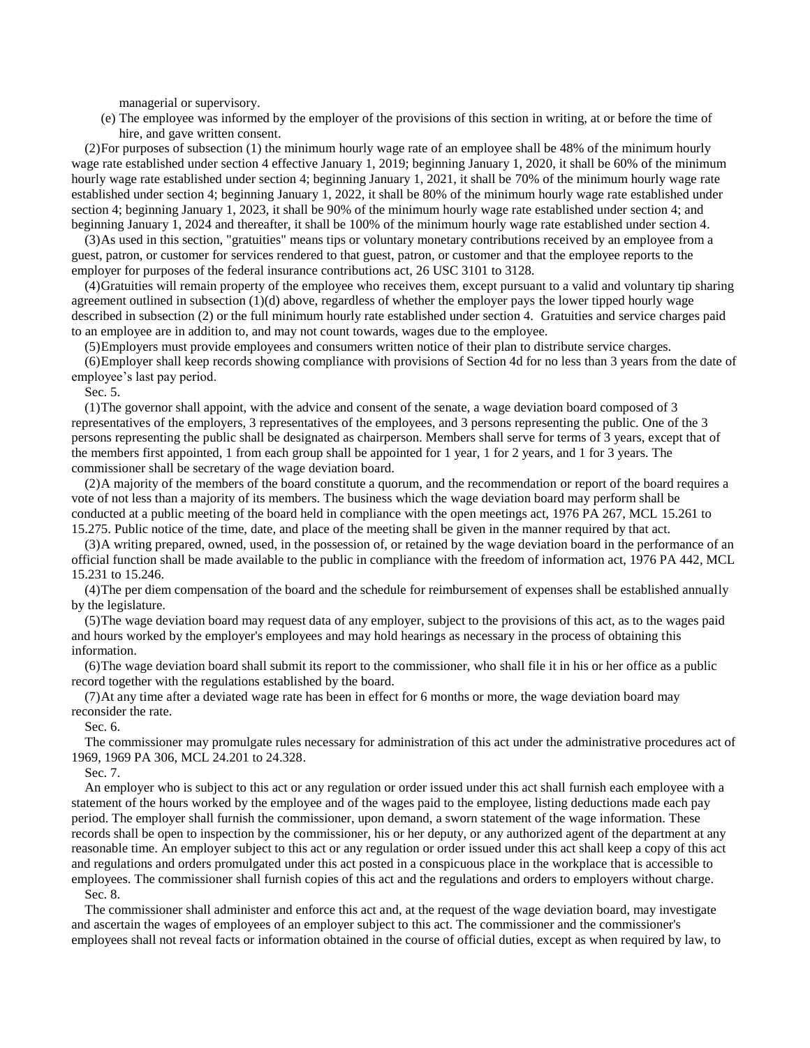managerial or supervisory.

(e) The employee was informed by the employer of the provisions of this section in writing, at or before the time of hire, and gave written consent.

(2)For purposes of subsection (1) the minimum hourly wage rate of an employee shall be 48% of the minimum hourly wage rate established under section 4 effective January 1, 2019; beginning January 1, 2020, it shall be 60% of the minimum hourly wage rate established under section 4; beginning January 1, 2021, it shall be 70% of the minimum hourly wage rate established under section 4; beginning January 1, 2022, it shall be 80% of the minimum hourly wage rate established under section 4; beginning January 1, 2023, it shall be 90% of the minimum hourly wage rate established under section 4; and beginning January 1, 2024 and thereafter, it shall be 100% of the minimum hourly wage rate established under section 4.

(3)As used in this section, "gratuities" means tips or voluntary monetary contributions received by an employee from a guest, patron, or customer for services rendered to that guest, patron, or customer and that the employee reports to the employer for purposes of the federal insurance contributions act, 26 USC 3101 to 3128.

(4)Gratuities will remain property of the employee who receives them, except pursuant to a valid and voluntary tip sharing agreement outlined in subsection (1)(d) above, regardless of whether the employer pays the lower tipped hourly wage described in subsection (2) or the full minimum hourly rate established under section 4. Gratuities and service charges paid to an employee are in addition to, and may not count towards, wages due to the employee.

(5)Employers must provide employees and consumers written notice of their plan to distribute service charges.

(6)Employer shall keep records showing compliance with provisions of Section 4d for no less than 3 years from the date of employee's last pay period.

Sec. 5.

(1)The governor shall appoint, with the advice and consent of the senate, a wage deviation board composed of 3 representatives of the employers, 3 representatives of the employees, and 3 persons representing the public. One of the 3 persons representing the public shall be designated as chairperson. Members shall serve for terms of 3 years, except that of the members first appointed, 1 from each group shall be appointed for 1 year, 1 for 2 years, and 1 for 3 years. The commissioner shall be secretary of the wage deviation board.

(2)A majority of the members of the board constitute a quorum, and the recommendation or report of the board requires a vote of not less than a majority of its members. The business which the wage deviation board may perform shall be conducted at a public meeting of the board held in compliance with the open meetings act, 1976 PA 267, MCL 15.261 to 15.275. Public notice of the time, date, and place of the meeting shall be given in the manner required by that act.

(3)A writing prepared, owned, used, in the possession of, or retained by the wage deviation board in the performance of an official function shall be made available to the public in compliance with the freedom of information act, 1976 PA 442, MCL 15.231 to 15.246.

(4)The per diem compensation of the board and the schedule for reimbursement of expenses shall be established annually by the legislature.

(5)The wage deviation board may request data of any employer, subject to the provisions of this act, as to the wages paid and hours worked by the employer's employees and may hold hearings as necessary in the process of obtaining this information.

(6)The wage deviation board shall submit its report to the commissioner, who shall file it in his or her office as a public record together with the regulations established by the board.

(7)At any time after a deviated wage rate has been in effect for 6 months or more, the wage deviation board may reconsider the rate.

Sec. 6.

The commissioner may promulgate rules necessary for administration of this act under the administrative procedures act of 1969, 1969 PA 306, MCL 24.201 to 24.328.

Sec. 7.

An employer who is subject to this act or any regulation or order issued under this act shall furnish each employee with a statement of the hours worked by the employee and of the wages paid to the employee, listing deductions made each pay period. The employer shall furnish the commissioner, upon demand, a sworn statement of the wage information. These records shall be open to inspection by the commissioner, his or her deputy, or any authorized agent of the department at any reasonable time. An employer subject to this act or any regulation or order issued under this act shall keep a copy of this act and regulations and orders promulgated under this act posted in a conspicuous place in the workplace that is accessible to employees. The commissioner shall furnish copies of this act and the regulations and orders to employers without charge.

Sec. 8.

The commissioner shall administer and enforce this act and, at the request of the wage deviation board, may investigate and ascertain the wages of employees of an employer subject to this act. The commissioner and the commissioner's employees shall not reveal facts or information obtained in the course of official duties, except as when required by law, to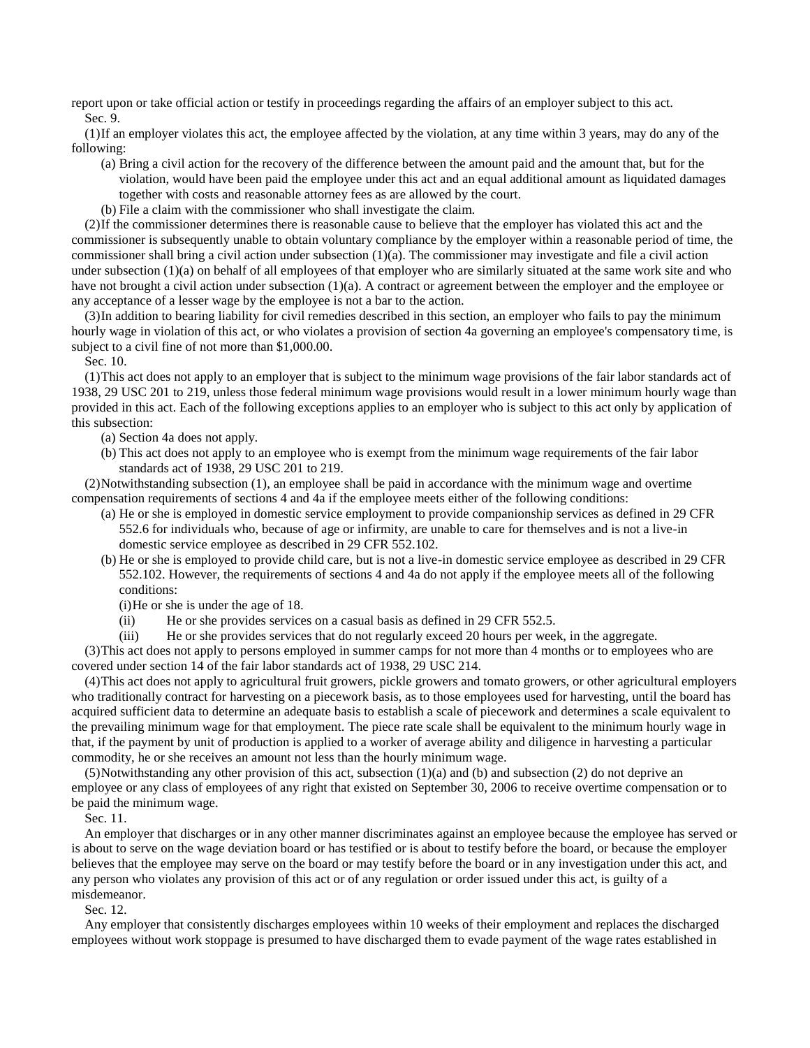report upon or take official action or testify in proceedings regarding the affairs of an employer subject to this act.

Sec. 9.

(1)If an employer violates this act, the employee affected by the violation, at any time within 3 years, may do any of the following:

- (a) Bring a civil action for the recovery of the difference between the amount paid and the amount that, but for the violation, would have been paid the employee under this act and an equal additional amount as liquidated damages together with costs and reasonable attorney fees as are allowed by the court.
- (b) File a claim with the commissioner who shall investigate the claim.

(2)If the commissioner determines there is reasonable cause to believe that the employer has violated this act and the commissioner is subsequently unable to obtain voluntary compliance by the employer within a reasonable period of time, the commissioner shall bring a civil action under subsection  $(1)(a)$ . The commissioner may investigate and file a civil action under subsection (1)(a) on behalf of all employees of that employer who are similarly situated at the same work site and who have not brought a civil action under subsection (1)(a). A contract or agreement between the employer and the employee or any acceptance of a lesser wage by the employee is not a bar to the action.

(3)In addition to bearing liability for civil remedies described in this section, an employer who fails to pay the minimum hourly wage in violation of this act, or who violates a provision of section 4a governing an employee's compensatory time, is subject to a civil fine of not more than \$1,000.00.

Sec. 10.

(1)This act does not apply to an employer that is subject to the minimum wage provisions of the fair labor standards act of 1938, 29 USC 201 to 219, unless those federal minimum wage provisions would result in a lower minimum hourly wage than provided in this act. Each of the following exceptions applies to an employer who is subject to this act only by application of this subsection:

- (a) Section 4a does not apply.
- (b) This act does not apply to an employee who is exempt from the minimum wage requirements of the fair labor standards act of 1938, 29 USC 201 to 219.

(2)Notwithstanding subsection (1), an employee shall be paid in accordance with the minimum wage and overtime compensation requirements of sections 4 and 4a if the employee meets either of the following conditions:

- (a) He or she is employed in domestic service employment to provide companionship services as defined in 29 CFR 552.6 for individuals who, because of age or infirmity, are unable to care for themselves and is not a live-in domestic service employee as described in 29 CFR 552.102.
- (b) He or she is employed to provide child care, but is not a live-in domestic service employee as described in 29 CFR 552.102. However, the requirements of sections 4 and 4a do not apply if the employee meets all of the following conditions:
	- (i)He or she is under the age of 18.
	- (ii) He or she provides services on a casual basis as defined in 29 CFR 552.5.
	- (iii) He or she provides services that do not regularly exceed 20 hours per week, in the aggregate.

(3)This act does not apply to persons employed in summer camps for not more than 4 months or to employees who are covered under section 14 of the fair labor standards act of 1938, 29 USC 214.

(4)This act does not apply to agricultural fruit growers, pickle growers and tomato growers, or other agricultural employers who traditionally contract for harvesting on a piecework basis, as to those employees used for harvesting, until the board has acquired sufficient data to determine an adequate basis to establish a scale of piecework and determines a scale equivalent to the prevailing minimum wage for that employment. The piece rate scale shall be equivalent to the minimum hourly wage in that, if the payment by unit of production is applied to a worker of average ability and diligence in harvesting a particular commodity, he or she receives an amount not less than the hourly minimum wage.

(5)Notwithstanding any other provision of this act, subsection (1)(a) and (b) and subsection (2) do not deprive an employee or any class of employees of any right that existed on September 30, 2006 to receive overtime compensation or to be paid the minimum wage.

Sec. 11.

An employer that discharges or in any other manner discriminates against an employee because the employee has served or is about to serve on the wage deviation board or has testified or is about to testify before the board, or because the employer believes that the employee may serve on the board or may testify before the board or in any investigation under this act, and any person who violates any provision of this act or of any regulation or order issued under this act, is guilty of a misdemeanor.

Sec. 12.

Any employer that consistently discharges employees within 10 weeks of their employment and replaces the discharged employees without work stoppage is presumed to have discharged them to evade payment of the wage rates established in